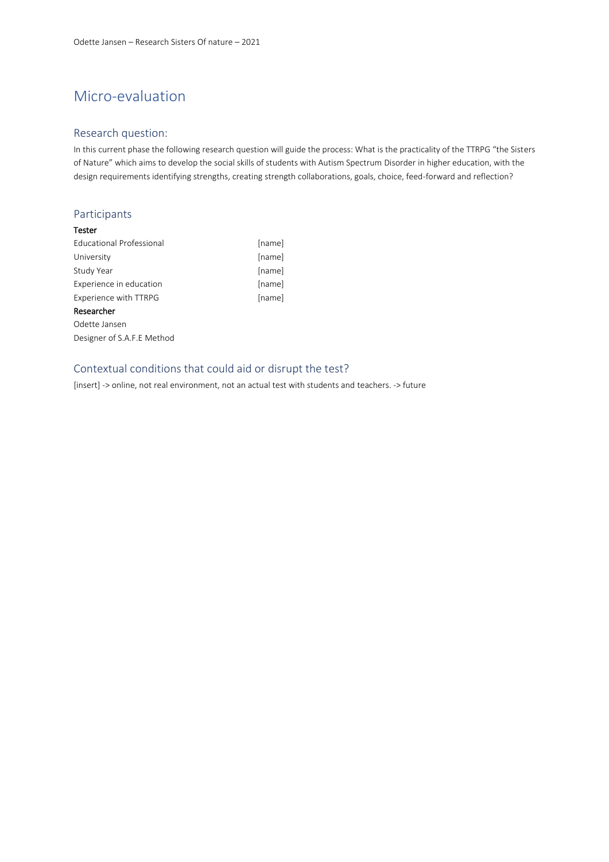# Micro-evaluation

### Research question:

In this current phase the following research question will guide the process: What is the practicality of the TTRPG "the Sisters of Nature" which aims to develop the social skills of students with Autism Spectrum Disorder in higher education, with the design requirements identifying strengths, creating strength collaborations, goals, choice, feed-forward and reflection?

### Participants

### Tester

| Educational Professional   | [name] |
|----------------------------|--------|
| University                 | [name] |
| Study Year                 | [name] |
| Experience in education    | [name] |
| Experience with TTRPG      | [name] |
| Researcher                 |        |
| Odette Jansen              |        |
| Designer of S.A.F.E Method |        |

## Contextual conditions that could aid or disrupt the test?

[insert] -> online, not real environment, not an actual test with students and teachers. -> future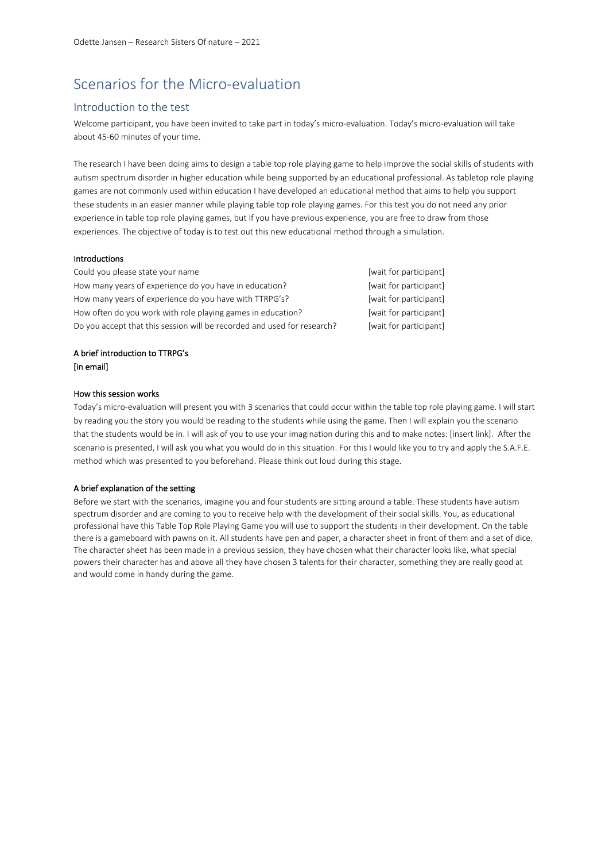## Scenarios for the Micro-evaluation

### Introduction to the test

Welcome participant, you have been invited to take part in today's micro-evaluation. Today's micro-evaluation will take about 45-60 minutes of your time.

The research I have been doing aims to design a table top role playing game to help improve the social skills of students with autism spectrum disorder in higher education while being supported by an educational professional. As tabletop role playing games are not commonly used within education I have developed an educational method that aims to help you support these students in an easier manner while playing table top role playing games. For this test you do not need any prior experience in table top role playing games, but if you have previous experience, you are free to draw from those experiences. The objective of today is to test out this new educational method through a simulation.

#### Introductions

| Could you please state your name                                        | [wait for participant] |
|-------------------------------------------------------------------------|------------------------|
| How many years of experience do you have in education?                  | [wait for participant] |
| How many years of experience do you have with TTRPG's?                  | [wait for participant] |
| How often do you work with role playing games in education?             | [wait for participant] |
| Do you accept that this session will be recorded and used for research? | [wait for participant] |

### A brief introduction to TTRPG's [in email]

### How this session works

Today's micro-evaluation will present you with 3 scenarios that could occur within the table top role playing game. I will start by reading you the story you would be reading to the students while using the game. Then I will explain you the scenario that the students would be in. I will ask of you to use your imagination during this and to make notes: [insert link]. After the scenario is presented, I will ask you what you would do in this situation. For this I would like you to try and apply the S.A.F.E. method which was presented to you beforehand. Please think out loud during this stage.

### A brief explanation of the setting

Before we start with the scenarios, imagine you and four students are sitting around a table. These students have autism spectrum disorder and are coming to you to receive help with the development of their social skills. You, as educational professional have this Table Top Role Playing Game you will use to support the students in their development. On the table there is a gameboard with pawns on it. All students have pen and paper, a character sheet in front of them and a set of dice. The character sheet has been made in a previous session, they have chosen what their character looks like, what special powers their character has and above all they have chosen 3 talents for their character, something they are really good at and would come in handy during the game.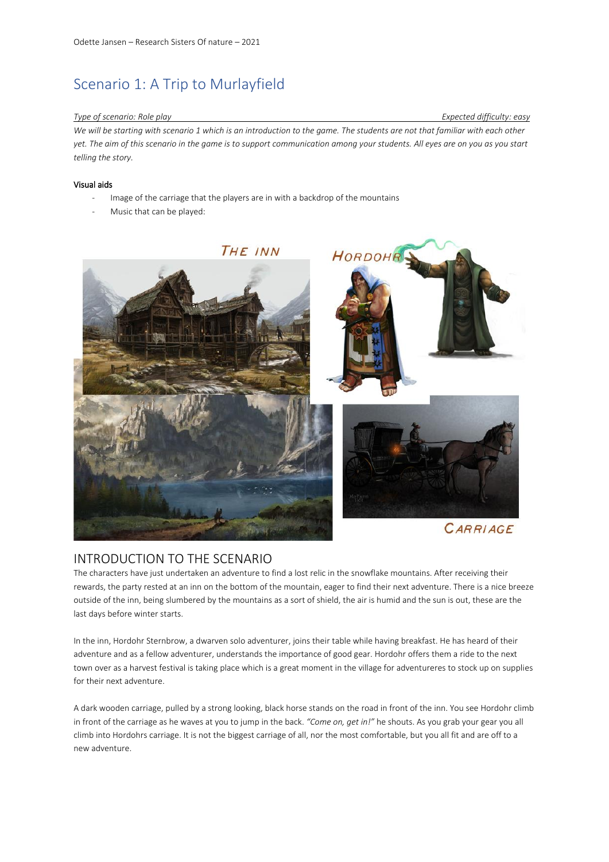# Scenario 1: A Trip to Murlayfield

### *Type of scenario: Role play Expected difficulty: easy*

*We will be starting with scenario 1 which is an introduction to the game. The students are not that familiar with each other yet. The aim of this scenario in the game is to support communication among your students. All eyes are on you as you start telling the story.* 

### Visual aids

- Image of the carriage that the players are in with a backdrop of the mountains
- Music that can be played:



## INTRODUCTION TO THE SCENARIO

The characters have just undertaken an adventure to find a lost relic in the snowflake mountains. After receiving their rewards, the party rested at an inn on the bottom of the mountain, eager to find their next adventure. There is a nice breeze outside of the inn, being slumbered by the mountains as a sort of shield, the air is humid and the sun is out, these are the last days before winter starts.

In the inn, Hordohr Sternbrow, a dwarven solo adventurer, joins their table while having breakfast. He has heard of their adventure and as a fellow adventurer, understands the importance of good gear. Hordohr offers them a ride to the next town over as a harvest festival is taking place which is a great moment in the village for adventureres to stock up on supplies for their next adventure.

A dark wooden carriage, pulled by a strong looking, black horse stands on the road in front of the inn. You see Hordohr climb in front of the carriage as he waves at you to jump in the back. *"Come on, get in!"* he shouts. As you grab your gear you all climb into Hordohrs carriage. It is not the biggest carriage of all, nor the most comfortable, but you all fit and are off to a new adventure.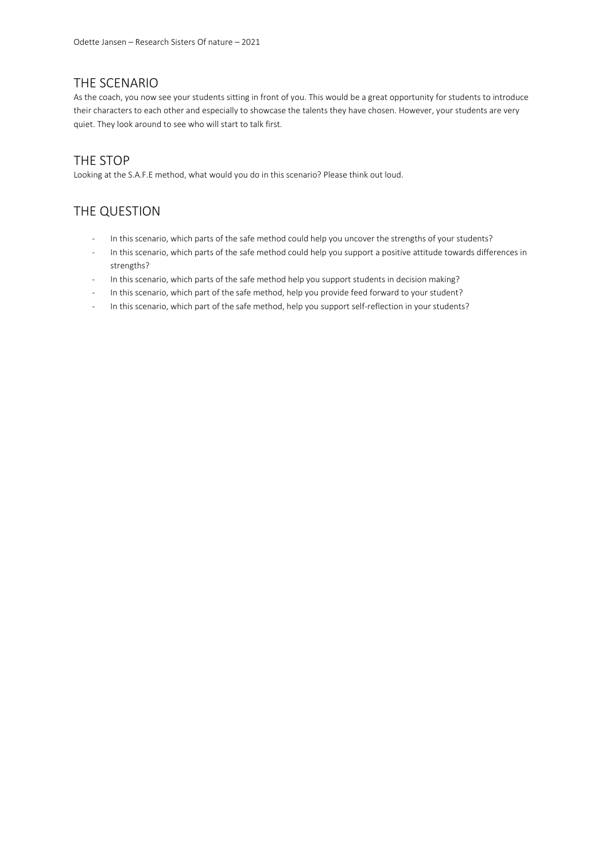## THE SCENARIO

As the coach, you now see your students sitting in front of you. This would be a great opportunity for students to introduce their characters to each other and especially to showcase the talents they have chosen. However, your students are very quiet. They look around to see who will start to talk first.

## THE STOP

Looking at the S.A.F.E method, what would you do in this scenario? Please think out loud.

## THE QUESTION

- In this scenario, which parts of the safe method could help you uncover the strengths of your students?
- In this scenario, which parts of the safe method could help you support a positive attitude towards differences in strengths?
- In this scenario, which parts of the safe method help you support students in decision making?
- In this scenario, which part of the safe method, help you provide feed forward to your student?
- In this scenario, which part of the safe method, help you support self-reflection in your students?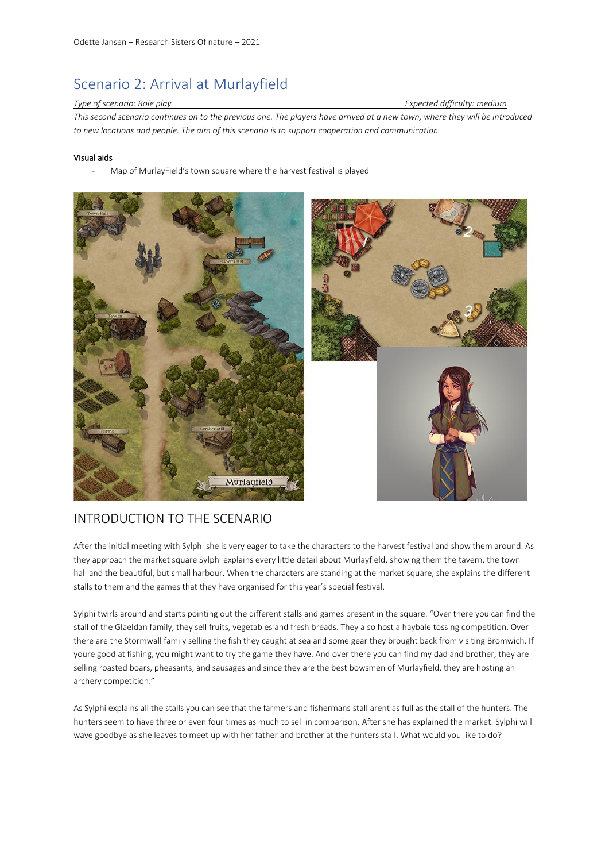# Scenario 2: Arrival at Murlayfield

### *Type of scenario: Role play Expected difficulty: medium*

*This second scenario continues on to the previous one. The players have arrived at a new town, where they will be introduced to new locations and people. The aim of this scenario is to support cooperation and communication.* 

### Visual aids

Map of MurlayField's town square where the harvest festival is played



## INTRODUCTION TO THE SCENARIO

After the initial meeting with Sylphi she is very eager to take the characters to the harvest festival and show them around. As they approach the market square Sylphi explains every little detail about Murlayfield, showing them the tavern, the town hall and the beautiful, but small harbour. When the characters are standing at the market square, she explains the different stalls to them and the games that they have organised for this year's special festival.

Sylphi twirls around and starts pointing out the different stalls and games present in the square. "Over there you can find the stall of the Glaeldan family, they sell fruits, vegetables and fresh breads. They also host a haybale tossing competition. Over there are the Stormwall family selling the fish they caught at sea and some gear they brought back from visiting Bromwich. If youre good at fishing, you might want to try the game they have. And over there you can find my dad and brother, they are selling roasted boars, pheasants, and sausages and since they are the best bowsmen of Murlayfield, they are hosting an archery competition."

As Sylphi explains all the stalls you can see that the farmers and fishermans stall arent as full as the stall of the hunters. The hunters seem to have three or even four times as much to sell in comparison. After she has explained the market. Sylphi will wave goodbye as she leaves to meet up with her father and brother at the hunters stall. What would you like to do?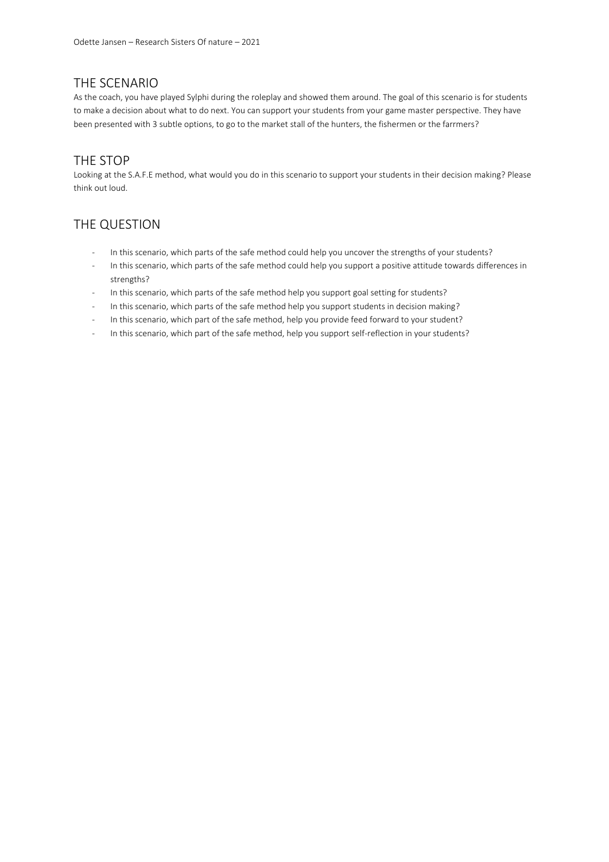## THE SCENARIO

As the coach, you have played Sylphi during the roleplay and showed them around. The goal of this scenario is for students to make a decision about what to do next. You can support your students from your game master perspective. They have been presented with 3 subtle options, to go to the market stall of the hunters, the fishermen or the farrmers?

## THE STOP

Looking at the S.A.F.E method, what would you do in this scenario to support your students in their decision making? Please think out loud.

## THE QUESTION

- In this scenario, which parts of the safe method could help you uncover the strengths of your students?
- In this scenario, which parts of the safe method could help you support a positive attitude towards differences in strengths?
- In this scenario, which parts of the safe method help you support goal setting for students?
- In this scenario, which parts of the safe method help you support students in decision making?
- In this scenario, which part of the safe method, help you provide feed forward to your student?
- In this scenario, which part of the safe method, help you support self-reflection in your students?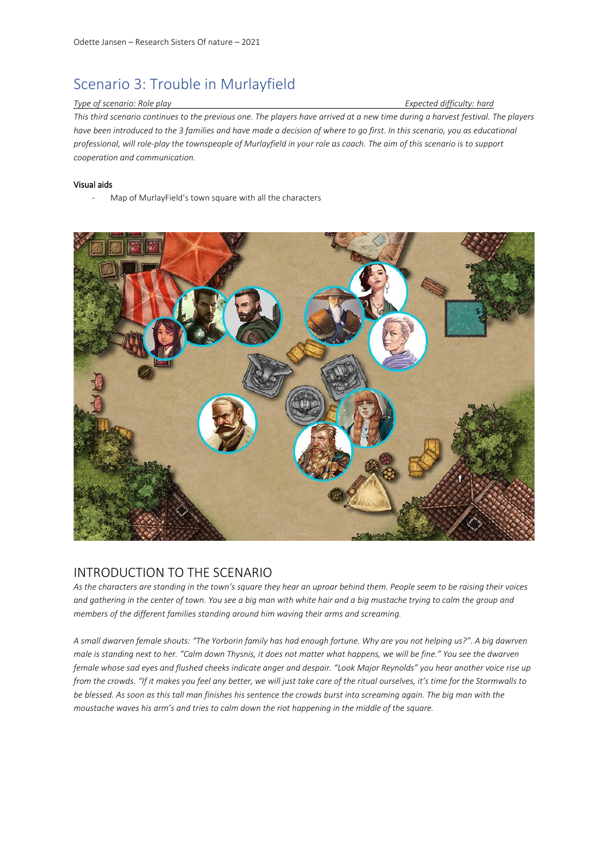# Scenario 3: Trouble in Murlayfield

#### *Type of scenario: Role play Expected difficulty: hard*

*This third scenario continues to the previous one. The players have arrived at a new time during a harvest festival. The players have been introduced to the 3 families and have made a decision of where to go first. In this scenario, you as educational professional, will role-play the townspeople of Murlayfield in your role as coach. The aim of this scenario is to support cooperation and communication.* 

### Visual aids

Map of MurlayField's town square with all the characters



## INTRODUCTION TO THE SCENARIO

*As the characters are standing in the town's square they hear an uproar behind them. People seem to be raising their voices and gathering in the center of town. You see a big man with white hair and a big mustache trying to calm the group and members of the different families standing around him waving their arms and screaming.* 

*A small dwarven female shouts: "The Yorborin family has had enough fortune. Why are you not helping us?". A big dawrven male is standing next to her. "Calm down Thysnis, it does not matter what happens, we will be fine." You see the dwarven female whose sad eyes and flushed cheeks indicate anger and despair. "Look Major Reynolds" you hear another voice rise up from the crowds. "If it makes you feel any better, we will just take care of the ritual ourselves, it's time for the Stormwalls to be blessed. As soon as this tall man finishes his sentence the crowds burst into screaming again. The big man with the moustache waves his arm's and tries to calm down the riot happening in the middle of the square.*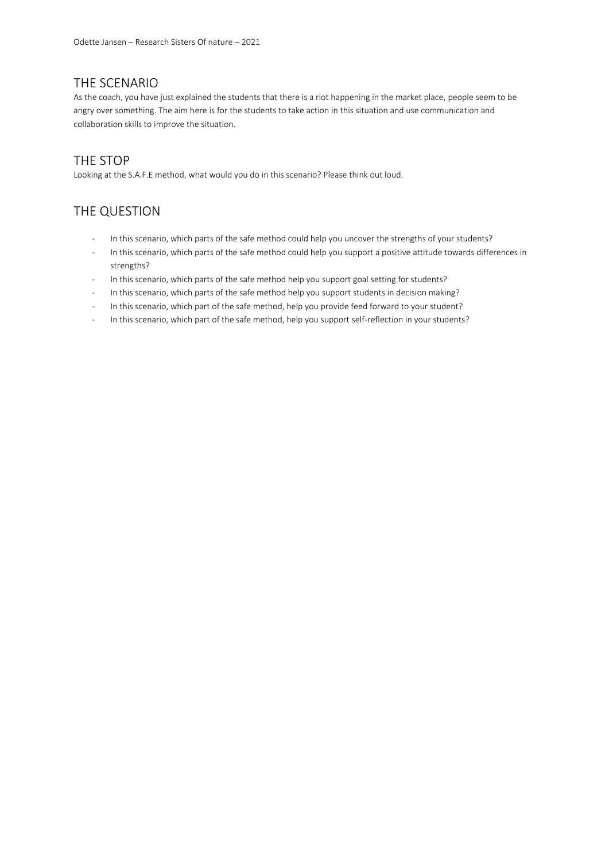## THE SCENARIO

As the coach, you have just explained the students that there is a riot happening in the market place, people seem to be angry over something. The aim here is for the students to take action in this situation and use communication and collaboration skills to improve the situation.

## THE STOP

Looking at the S.A.F.E method, what would you do in this scenario? Please think out loud.

## THE QUESTION

- In this scenario, which parts of the safe method could help you uncover the strengths of your students?
- In this scenario, which parts of the safe method could help you support a positive attitude towards differences in strengths?
- In this scenario, which parts of the safe method help you support goal setting for students?
- In this scenario, which parts of the safe method help you support students in decision making?
- In this scenario, which part of the safe method, help you provide feed forward to your student?
- In this scenario, which part of the safe method, help you support self-reflection in your students?